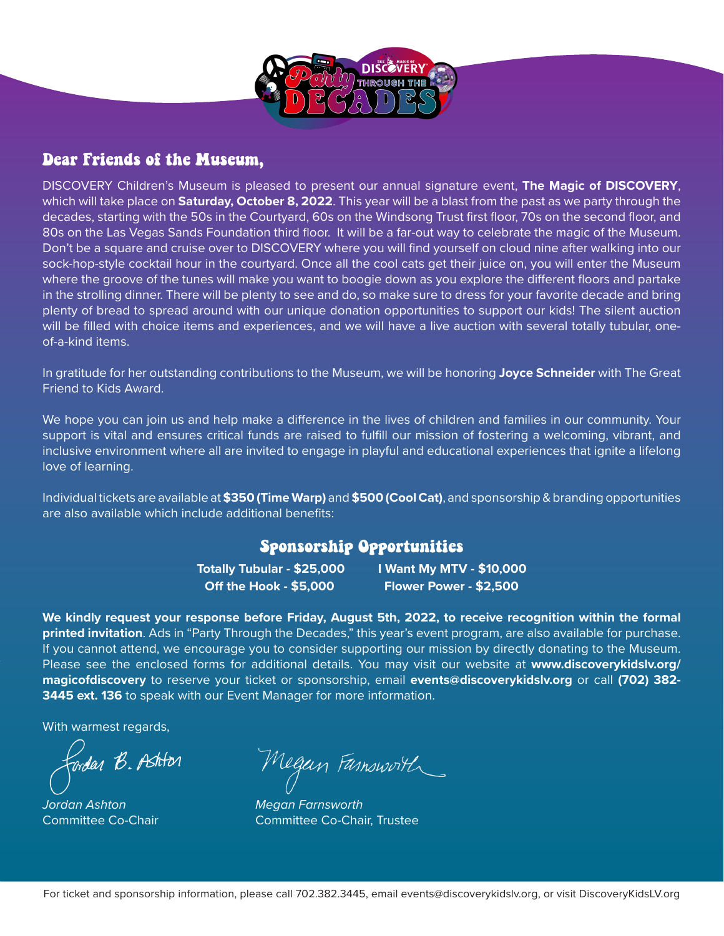

### Dear Friends of the Museum,

DISCOVERY Children's Museum is pleased to present our annual signature event, **The Magic of DISCOVERY**, which will take place on **Saturday, October 8, 2022**. This year will be a blast from the past as we party through the decades, starting with the 50s in the Courtyard, 60s on the Windsong Trust first floor, 70s on the second floor, and 80s on the Las Vegas Sands Foundation third floor. It will be a far-out way to celebrate the magic of the Museum. Don't be a square and cruise over to DISCOVERY where you will find yourself on cloud nine after walking into our sock-hop-style cocktail hour in the courtyard. Once all the cool cats get their juice on, you will enter the Museum where the groove of the tunes will make you want to boogie down as you explore the different floors and partake in the strolling dinner. There will be plenty to see and do, so make sure to dress for your favorite decade and bring plenty of bread to spread around with our unique donation opportunities to support our kids! The silent auction will be filled with choice items and experiences, and we will have a live auction with several totally tubular, oneof-a-kind items.

In gratitude for her outstanding contributions to the Museum, we will be honoring **Joyce Schneider** with The Great Friend to Kids Award.

We hope you can join us and help make a difference in the lives of children and families in our community. Your support is vital and ensures critical funds are raised to fulfill our mission of fostering a welcoming, vibrant, and inclusive environment where all are invited to engage in playful and educational experiences that ignite a lifelong love of learning.

Individual tickets are available at **\$350 (Time Warp)** and **\$500 (Cool Cat)**, and sponsorship & branding opportunities are also available which include additional benefits:

### Sponsorship Opportunities

**Off the Hook - \$5,000 Flower Power - \$2,500** 

**Totally Tubular - \$25,000 I Want My MTV - \$10,000**

**We kindly request your response before Friday, August 5th, 2022, to receive recognition within the formal printed invitation**. Ads in "Party Through the Decades," this year's event program, are also available for purchase. If you cannot attend, we encourage you to consider supporting our mission by directly donating to the Museum. Please see the enclosed forms for additional details. You may visit our website at **www.discoverykidslv.org/ magicofdiscovery** to reserve your ticket or sponsorship, email **events@discoverykidslv.org** or call **(702) 382- 3445 ext. 136** to speak with our Event Manager for more information.

With warmest regards,

Cordar B. Ashtor

*Jordan Ashton Megan Farnsworth* 

Megan Famsworth

Committee Co-Chair Committee Co-Chair, Trustee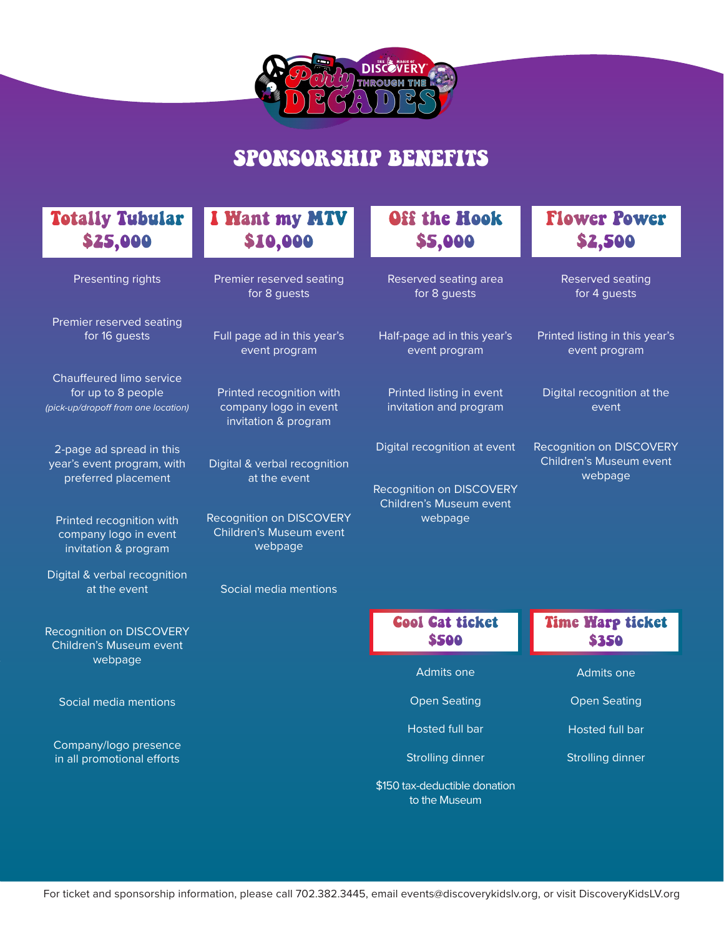

# SPONSORSHIP BENEFITS

## Totally Tubular \$25,000

| Presenting rights |  |
|-------------------|--|
|                   |  |

Premier reserved seating for 16 guests

Chauffeured limo service for up to 8 people *(pick-up/dropoff from one location)*

2-page ad spread in this year's event program, with preferred placement

Printed recognition with company logo in event invitation & program

Digital & verbal recognition at the event

Recognition on DISCOVERY Children's Museum event webpage

Social media mentions

Company/logo presence in all promotional efforts

## I Want my MTV \$10,000

Premier reserved seating for 8 guests

Full page ad in this year's event program

Printed recognition with company logo in event invitation & program

Digital & verbal recognition at the event

Recognition on DISCOVERY Children's Museum event webpage

Social media mentions

# Off the Hook \$5,000

Reserved seating area for 8 guests

Half-page ad in this year's event program

Printed listing in event invitation and program

Digital recognition at event

Recognition on DISCOVERY Children's Museum event webpage

### Flower Power \$2,500

Reserved seating for 4 guests

Printed listing in this year's event program

Digital recognition at the event

Recognition on DISCOVERY Children's Museum event webpage

| <b>Cool Cat ticket</b><br>\$500 | <b>Time Warp ticket</b><br>\$350 |
|---------------------------------|----------------------------------|
| Admits one                      | Admits one                       |
| <b>Open Seating</b>             | <b>Open Seating</b>              |
| Hosted full bar                 | <b>Hosted full bar</b>           |
| Strolling dinner                | <b>Strolling dinner</b>          |
| \$150 tax-deductible donation   |                                  |

to the Museum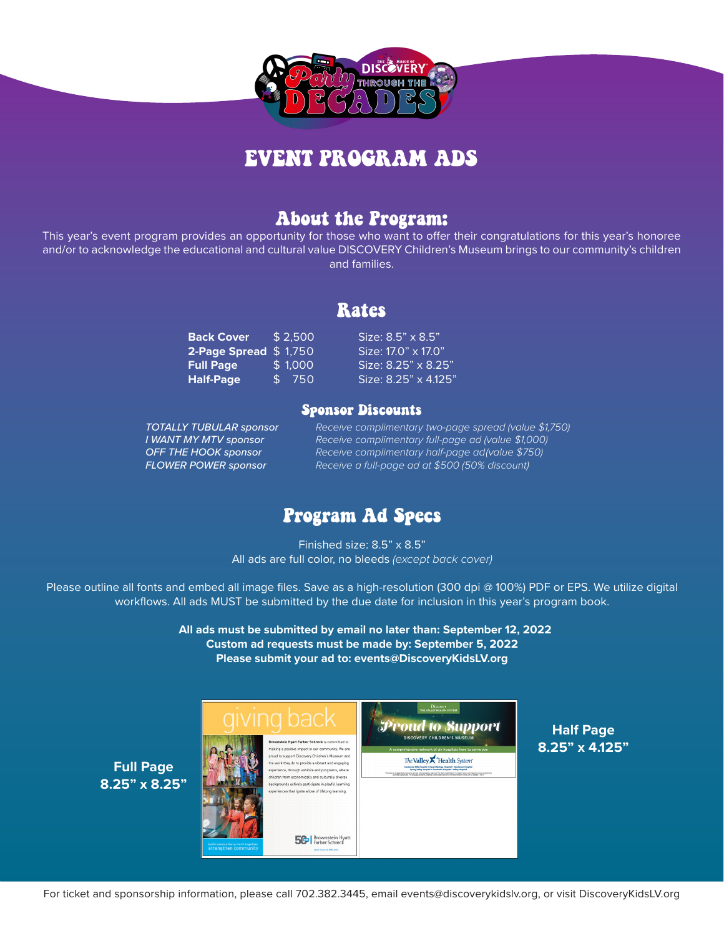

# EVENT PROGRAM ADS

### About the Program:

This year's event program provides an opportunity for those who want to offer their congratulations for this year's honoree and/or to acknowledge the educational and cultural value DISCOVERY Children's Museum brings to our community's children and families.

### Rates

| <b>Back Cover</b>     | \$2.500 | Size: 8.5" x 8.5"    |
|-----------------------|---------|----------------------|
| 2-Page Spread \$1,750 |         | Size: 17.0" x 17.0"  |
| <b>Full Page</b>      | \$1.000 | Size: 8.25" x 8.25"  |
| <b>Half-Page</b>      | \$ 750  | Size: 8.25" x 4.125" |
|                       |         |                      |

#### Sponsor Discounts

*TOTALLY TUBULAR sponsor Receive complimentary two-page spread (value \$1,750) I WANT MY MTV sponsor Receive complimentary full-page ad (value \$1,000) OFF THE HOOK sponsor Receive complimentary half-page ad(value \$750) FLOWER POWER sponsor Receive a full-page ad at \$500 (50% discount)*

### Program Ad Specs

Finished size: 8.5" x 8.5" All ads are full color, no bleeds *(except back cover)*

Please outline all fonts and embed all image files. Save as a high-resolution (300 dpi @ 100%) PDF or EPS. We utilize digital workflows. All ads MUST be submitted by the due date for inclusion in this year's program book.

> **All ads must be submitted by email no later than: September 12, 2022 Custom ad requests must be made by: September 5, 2022 Please submit your ad to: events@DiscoveryKidsLV.org**



**Half Page 8.25" x 4.125"**

**Full Page 8.25" x 8.25"**

For ticket and sponsorship information, please call 702.382.3445, email events@discoverykidslv.org, or visit DiscoveryKidsLV.org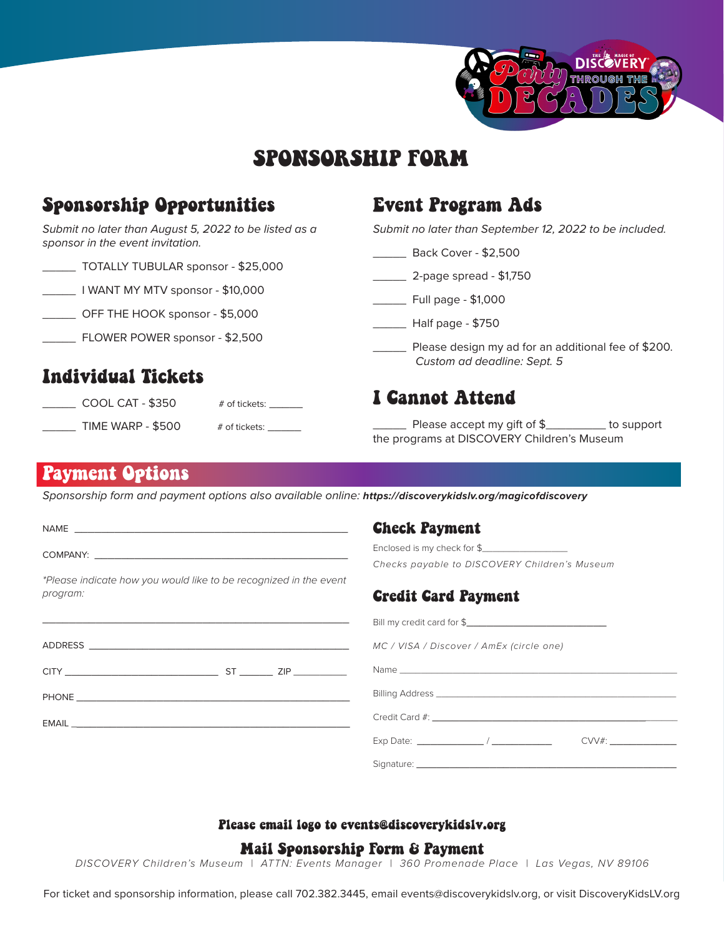

# SPONSORSHIP FORM

## Sponsorship Opportunities

#### *Submit no later than August 5, 2022 to be listed as a sponsor in the event invitation.*

| TOTALLY TUBULAR sponsor - \$25,000 |
|------------------------------------|
|------------------------------------|

\_\_\_\_\_ I WANT MY MTV sponsor - \$10,000

\_\_\_\_\_ OFF THE HOOK sponsor - \$5,000

\_\_\_\_\_ FLOWER POWER sponsor - \$2,500

## Individual Tickets

 $\Box$  COOL CAT - \$350  $\qquad$  # of tickets:  $\Box$ \_\_\_\_\_\_\_\_\_ TIME WARP - \$500 # of tickets: \_\_\_\_\_\_\_

### Event Program Ads

*Submit no later than September 12, 2022 to be included.*

- \_\_\_\_\_ Back Cover \$2,500
- \_\_\_\_\_ 2-page spread \$1,750
- \_\_\_\_\_ Full page \$1,000
- \_\_\_\_\_ Half page \$750
	- \_\_\_\_\_ Please design my ad for an additional fee of \$200. *Custom ad deadline: Sept. 5*

### I Cannot Attend

 $\_$  Please accept my gift of  $\frac{1}{2}$  \_\_\_\_\_\_\_\_\_\_ to support the programs at DISCOVERY Children's Museum

### Payment Options

*Sponsorship form and payment options also available online: https://discoverykidslv.org/magicofdiscovery*

|          | NAME <b>NAME</b>                                                                               | <b>Check Payment</b>                                                                                                                                                                                                                  |
|----------|------------------------------------------------------------------------------------------------|---------------------------------------------------------------------------------------------------------------------------------------------------------------------------------------------------------------------------------------|
|          |                                                                                                | Enclosed is my check for \$                                                                                                                                                                                                           |
|          |                                                                                                | Checks payable to DISCOVERY Children's Museum                                                                                                                                                                                         |
|          | *Please indicate how you would like to be recognized in the event                              |                                                                                                                                                                                                                                       |
| program: |                                                                                                | <b>Credit Card Payment</b>                                                                                                                                                                                                            |
|          | <u> 1990 - Januar Alexander (h. 1980).</u><br>1900 - Johann Barnett, fransk politik (h. 1900). | Bill my credit card for \$                                                                                                                                                                                                            |
|          |                                                                                                | MC / VISA / Discover / AmEx (circle one)                                                                                                                                                                                              |
|          |                                                                                                |                                                                                                                                                                                                                                       |
|          | <b>PHONE <i>PHONE</i></b>                                                                      |                                                                                                                                                                                                                                       |
|          |                                                                                                | Credit Card #: Web 2014 and 2014 and 2014 and 2014 and 2014 and 2014 and 2014 and 2014 and 2014 and 2014 and 20                                                                                                                       |
|          |                                                                                                | Exp Date: the contract of the contract of the contract of the contract of the contract of the contract of the contract of the contract of the contract of the contract of the contract of the contract of the contract of the<br>CVV# |
|          |                                                                                                | Signature:                                                                                                                                                                                                                            |

#### Please email logo to events@discoverykidslv.org

#### Mail Sponsorship Form & Payment

*DISCOVERY Children's Museum | ATTN: Events Manager | 360 Promenade Place | Las Vegas, NV 89106* 

For ticket and sponsorship information, please call 702.382.3445, email events@discoverykidslv.org, or visit DiscoveryKidsLV.org